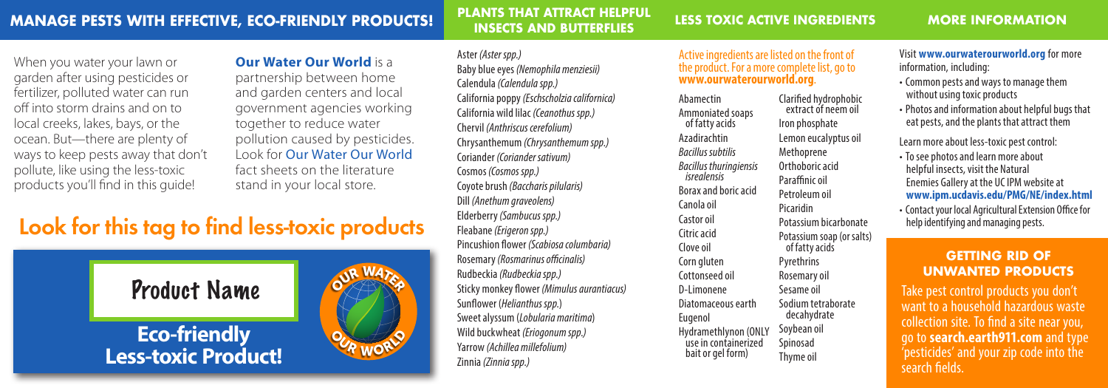### **PLANTS THAT ATTRACT HELPFUL INSECTS AND BUTTERFLIES**

### **MORE INFORMATION**

When you water your lawn or garden after using pesticides or fertilizer, polluted water can run off into storm drains and on to local creeks, lakes, bays, or the ocean. But—there are plenty of ways to keep pests away that don't pollute, like using the less-toxic products you'll find in this guide!

### **Our Water Our World** is a

partnership between home and garden centers and local government agencies working together to reduce water pollution caused by pesticides. Look for Our Water Our World fact sheets on the literature stand in your local store.

## Look for this tag to find less-toxic products



Aster *(Aster spp.)* Baby blue eyes *(Nemophila menziesii)* Calendula *(Calendula spp.)* California poppy *(Eschscholzia californica)* California wild lilac *(Ceanothus spp.)* Chervil *(Anthriscus cerefolium)* Chrysanthemum *(Chrysanthemum spp.)* Coriander *(Coriander sativum)* Cosmos *(Cosmos spp.)* Coyote brush *(Baccharis pilularis)* Dill *(Anethum graveolens)* Elderberry *(Sambucus spp.)* Fleabane *(Erigeron spp.)* Pincushion flower *(Scabiosa columbaria)* Rosemary *(Rosmarinus officinalis)* Rudbeckia *(Rudbeckia spp.)* Sticky monkey flower *(Mimulus aurantiacus)* Sunflower (*Helianthus spp.*) Sweet alyssum (*Lobularia maritima*) Wild buckwheat *(Eriogonum spp.)* Yarrow *(Achillea millefolium)* Zinnia *(Zinnia spp.)*

### Active ingredients are listed on the front of the product. For a more complete list, go to **www.ourwaterourworld.org**.

Abamectin Ammoniated soaps of fatty acids Azadirachtin *Bacillus subtilis Bacillus thuringiensis isrealensis* Borax and boric acid Canola oil Castor oil Citric acid Clove oil Corn gluten Cottonseed oil D-Limonene Diatomaceous earth Eugenol Hydramethlynon (ONLY use in containerized bait or gel form) Clarified hydrophobic extract of neem oil Iron phosphate Lemon eucalyptus oil Methoprene Orthoboric acid Paraffinic oil Petroleum oil Picaridin Potassium bicarbonate Potassium soap (or salts) of fatty acids Pyrethrins Rosemary oil Sesame oil Sodium tetraborate decahydrate Soybean oil Spinosad Thyme oil

Visit **www.ourwaterourworld.org** for more information, including:

- • Common pests and ways to manage them without using toxic products
- • Photos and information about helpful bugs that eat pests, and the plants that attract them

Learn more about less-toxic pest control:

- To see photos and learn more about helpful insects, visit the Natural Enemies Gallery at the UC IPM website at **www.ipm.ucdavis.edu/PMG/NE/index.html**
- • Contact your local Agricultural Extension Office for help identifying and managing pests.

### **GETTING RID OF UNWANTED PRODUCTS**

Take pest control products you don't want to a household hazardous waste collection site. To find a site near you, go to **search.earth911.com** and type 'pesticides' and your zip code into the search fields.